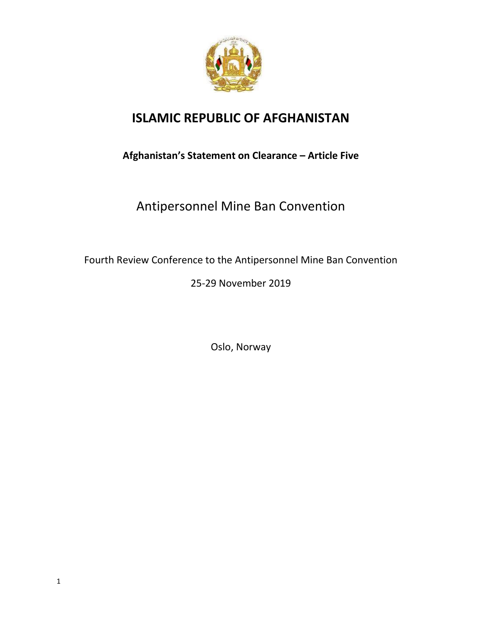

## **ISLAMIC REPUBLIC OF AFGHANISTAN**

## **Afghanistan's Statement on Clearance – Article Five**

## Antipersonnel Mine Ban Convention

Fourth Review Conference to the Antipersonnel Mine Ban Convention

## 25-29 November 2019

Oslo, Norway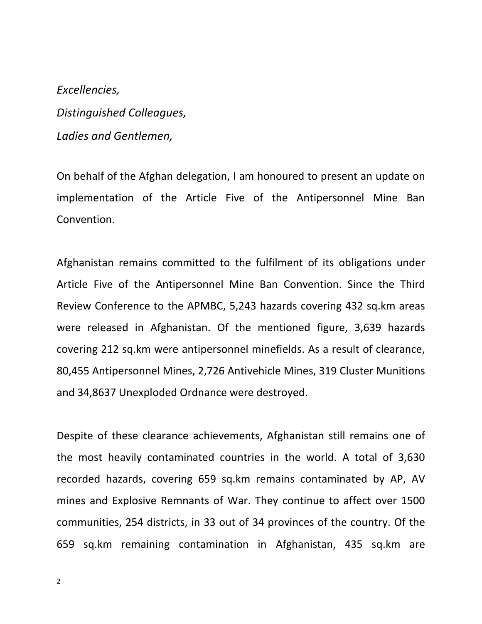*Excellencies, Distinguished Colleagues, Ladies and Gentlemen,*

On behalf of the Afghan delegation, I am honoured to present an update on implementation of the Article Five of the Antipersonnel Mine Ban Convention.

Afghanistan remains committed to the fulfilment of its obligations under Article Five of the Antipersonnel Mine Ban Convention. Since the Third Review Conference to the APMBC, 5,243 hazards covering 432 sq.km areas were released in Afghanistan. Of the mentioned figure, 3,639 hazards covering 212 sq.km were antipersonnel minefields. As a result of clearance, 80,455 Antipersonnel Mines, 2,726 Antivehicle Mines, 319 Cluster Munitions and 34,8637 Unexploded Ordnance were destroyed.

Despite of these clearance achievements, Afghanistan still remains one of the most heavily contaminated countries in the world. A total of 3,630 recorded hazards, covering 659 sq.km remains contaminated by AP, AV mines and Explosive Remnants of War. They continue to affect over 1500 communities, 254 districts, in 33 out of 34 provinces of the country. Of the 659 sq.km remaining contamination in Afghanistan, 435 sq.km are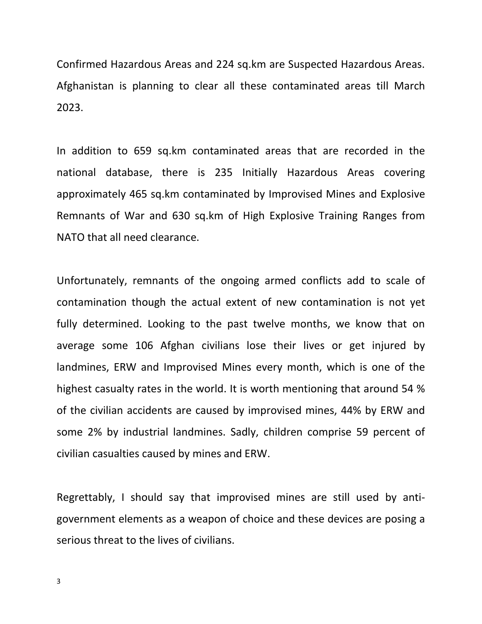Confirmed Hazardous Areas and 224 sq.km are Suspected Hazardous Areas. Afghanistan is planning to clear all these contaminated areas till March 2023.

In addition to 659 sq.km contaminated areas that are recorded in the national database, there is 235 Initially Hazardous Areas covering approximately 465 sq.km contaminated by Improvised Mines and Explosive Remnants of War and 630 sq.km of High Explosive Training Ranges from NATO that all need clearance.

Unfortunately, remnants of the ongoing armed conflicts add to scale of contamination though the actual extent of new contamination is not yet fully determined. Looking to the past twelve months, we know that on average some 106 Afghan civilians lose their lives or get injured by landmines, ERW and Improvised Mines every month, which is one of the highest casualty rates in the world. It is worth mentioning that around 54 % of the civilian accidents are caused by improvised mines, 44% by ERW and some 2% by industrial landmines. Sadly, children comprise 59 percent of civilian casualties caused by mines and ERW.

Regrettably, I should say that improvised mines are still used by antigovernment elements as a weapon of choice and these devices are posing a serious threat to the lives of civilians.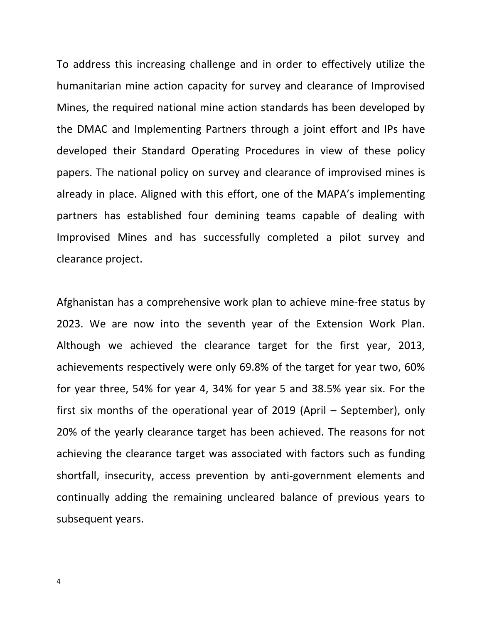To address this increasing challenge and in order to effectively utilize the humanitarian mine action capacity for survey and clearance of Improvised Mines, the required national mine action standards has been developed by the DMAC and Implementing Partners through a joint effort and IPs have developed their Standard Operating Procedures in view of these policy papers. The national policy on survey and clearance of improvised mines is already in place. Aligned with this effort, one of the MAPA's implementing partners has established four demining teams capable of dealing with Improvised Mines and has successfully completed a pilot survey and clearance project.

Afghanistan has a comprehensive work plan to achieve mine-free status by 2023. We are now into the seventh year of the Extension Work Plan. Although we achieved the clearance target for the first year, 2013, achievements respectively were only 69.8% of the target for year two, 60% for year three, 54% for year 4, 34% for year 5 and 38.5% year six. For the first six months of the operational year of 2019 (April – September), only 20% of the yearly clearance target has been achieved. The reasons for not achieving the clearance target was associated with factors such as funding shortfall, insecurity, access prevention by anti-government elements and continually adding the remaining uncleared balance of previous years to subsequent years.